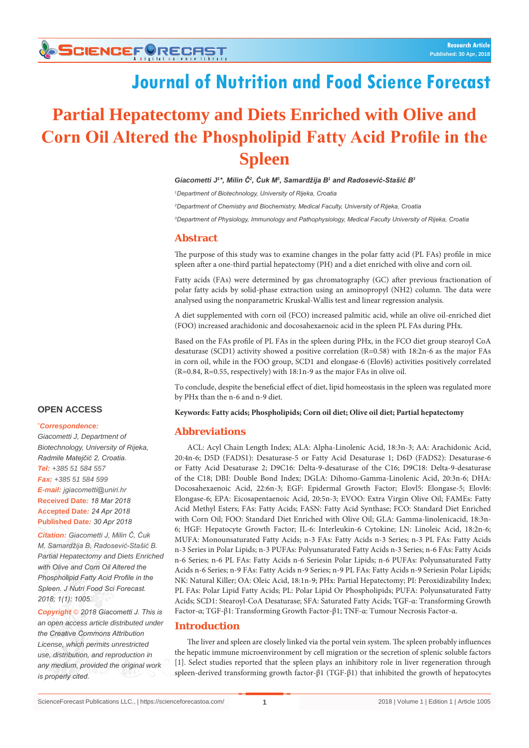# **Journal of Nutrition and Food Science Forecast**

# **Partial Hepatectomy and Diets Enriched with Olive and Corn Oil Altered the Phospholipid Fatty Acid Profile in the Spleen**

#### *Giacometti J1 \*, Milin Č<sup>2</sup> , Ćuk M<sup>3</sup> , Samardžija B<sup>1</sup> and Radosević-Stašić B<sup>3</sup>*

*1 Department of Biotechnology, University of Rijeka, Croatia 2 Department of Chemistry and Biochemistry, Medical Faculty, University of Rijeka, Croatia 3 Department of Physiology, Immunology and Pathophysiology, Medical Faculty University of Rijeka, Croatia*

#### **Abstract**

The purpose of this study was to examine changes in the polar fatty acid (PL FAs) profile in mice spleen after a one-third partial hepatectomy (PH) and a diet enriched with olive and corn oil.

Fatty acids (FAs) were determined by gas chromatography (GC) after previous fractionation of polar fatty acids by solid-phase extraction using an aminopropyl (NH2) column. The data were analysed using the nonparametric Kruskal-Wallis test and linear regression analysis.

A diet supplemented with corn oil (FCO) increased palmitic acid, while an olive oil-enriched diet (FOO) increased arachidonic and docosahexaenoic acid in the spleen PL FAs during PHx.

Based on the FAs profile of PL FAs in the spleen during PHx, in the FCO diet group stearoyl CoA desaturase (SCD1) activity showed a positive correlation (R=0.58) with 18:2n-6 as the major FAs in corn oil, while in the FOO group, SCD1 and elongase-6 (Elovl6) activities positively correlated (R=0.84, R=0.55, respectively) with 18:1n-9 as the major FAs in olive oil.

To conclude, despite the beneficial effect of diet, lipid homeostasis in the spleen was regulated more by PHx than the n-6 and n-9 diet.

#### **Keywords: Fatty acids; Phospholipids; Corn oil diet; Olive oil diet; Partial hepatectomy**

### **Abbreviations**

ACL: Acyl Chain Length Index; ALA: Alpha-Linolenic Acid, 18:3n-3; AA: Arachidonic Acid, 20:4n-6; D5D (FADS1): Desaturase-5 or Fatty Acid Desaturase 1; D6D (FADS2): Desaturase-6 or Fatty Acid Desaturase 2; D9C16: Delta-9-desaturase of the C16; D9C18: Delta-9-desaturase of the C18; DBI: Double Bond Index; DGLA: Dihomo-Gamma-Linolenic Acid, 20:3n-6; DHA: Docosahexaenoic Acid, 22:6n-3; EGF: Epidermal Growth Factor; Elovl5: Elongase-5; Elovl6: Elongase-6; EPA: Eicosapentaenoic Acid, 20:5n-3; EVOO: Extra Virgin Olive Oil; FAMEs: Fatty Acid Methyl Esters; FAs: Fatty Acids; FASN: Fatty Acid Synthase; FCO: Standard Diet Enriched with Corn Oil; FOO: Standard Diet Enriched with Olive Oil; GLA: Gamma-linolenicacid, 18:3n-6; HGF: Hepatocyte Growth Factor; IL-6: Interleukin-6 Cytokine; LN: Linoleic Acid, 18:2n-6; MUFA: Monounsaturated Fatty Acids; n-3 FAs: Fatty Acids n-3 Series; n-3 PL FAs: Fatty Acids n-3 Series in Polar Lipids; n-3 PUFAs: Polyunsaturated Fatty Acids n-3 Series; n-6 FAs: Fatty Acids n-6 Series; n-6 PL FAs: Fatty Acids n-6 Seriesin Polar Lipids; n-6 PUFAs: Polyunsaturated Fatty Acids n-6 Series; n-9 FAs: Fatty Acids n-9 Series; n-9 PL FAs: Fatty Acids n-9 Seriesin Polar Lipids; NK: Natural Killer; OA: Oleic Acid, 18:1n-9; PHx: Partial Hepatectomy; PI: Peroxidizability Index; PL FAs: Polar Lipid Fatty Acids; PL: Polar Lipid Or Phospholipids; PUFA: Polyunsaturated Fatty Acids; SCD1: Stearoyl-CoA Desaturase; SFA: Saturated Fatty Acids; TGF-α: Transforming Growth Factor-α; TGF-β1: Transforming Growth Factor-β1; TNF-α: Tumour Necrosis Factor-α.

### **Introduction**

The liver and spleen are closely linked via the portal vein system. The spleen probably influences the hepatic immune microenvironment by cell migration or the secretion of splenic soluble factors [1]. Select studies reported that the spleen plays an inhibitory role in liver regeneration through spleen-derived transforming growth factor-β1 (TGF-β1) that inhibited the growth of hepatocytes

# **OPEN ACCESS**

#### **\*** *Correspondence:*

*Giacometti J, Department of Biotechnology, University of Rijeka, Radmile Matejčić 2, Croatia. Tel: +385 51 584 557 Fax: +385 51 584 599 E-mail: jgiacometti@uniri.hr* **Received Date***: 18 Mar 2018* **Accepted Date***: 24 Apr 2018* **Published Date***: 30 Apr 2018*

*Citation: Giacometti J, Milin Č, Ćuk M, Samardžija B, Radosević-Stašić B. Partial Hepatectomy and Diets Enriched with Olive and Corn Oil Altered the Phospholipid Fatty Acid Profile in the Spleen. J Nutri Food Sci Forecast. 2018; 1(1): 1005.*

*Copyright © 2018 Giacometti J. This is an open access article distributed under the Creative Commons Attribution License, which permits unrestricted use, distribution, and reproduction in any medium, provided the original work is properly cited.*

**1**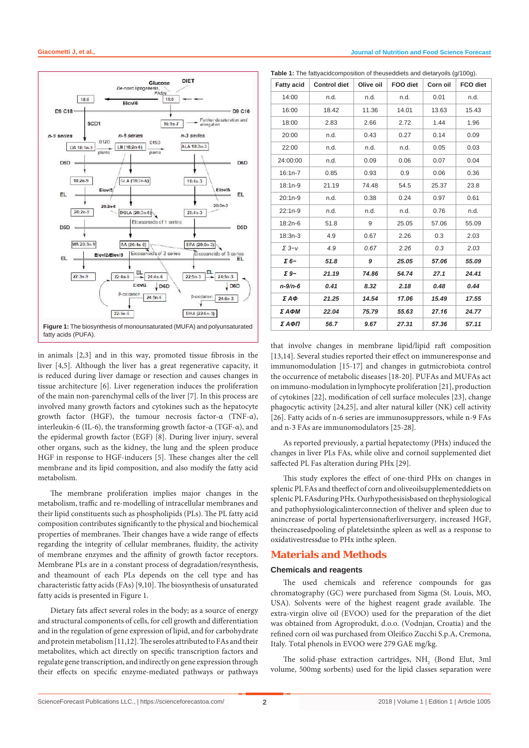

in animals [2,3] and in this way, promoted tissue fibrosis in the liver [4,5]. Although the liver has a great regenerative capacity, it is reduced during liver damage or resection and causes changes in tissue architecture [6]. Liver regeneration induces the proliferation of the main non-parenchymal cells of the liver [7]. In this process are involved many growth factors and cytokines such as the hepatocyte growth factor (HGF), the tumour necrosis factor-α (TNF-α), interleukin-6 (IL-6), the transforming growth factor-α (TGF-α), and the epidermal growth factor (EGF) [8]. During liver injury, several other organs, such as the kidney, the lung and the spleen produce HGF in response to HGF-inducers [5]. These changes alter the cell membrane and its lipid composition, and also modify the fatty acid metabolism.

The membrane proliferation implies major changes in the metabolism, traffic and re-modelling of intracellular membranes and their lipid constituents such as phospholipids (PLs). The PL fatty acid composition contributes significantly to the physical and biochemical properties of membranes. Their changes have a wide range of effects regarding the integrity of cellular membranes, fluidity, the activity of membrane enzymes and the affinity of growth factor receptors. Membrane PLs are in a constant process of degradation/resynthesis, and theamount of each PLs depends on the cell type and has characteristic fatty acids (FAs) [9,10]. The biosynthesis of unsaturated fatty acids is presented in Figure 1.

Dietary fats affect several roles in the body; as a source of energy and structural components of cells, for cell growth and differentiation and in the regulation of gene expression of lipid, and for carbohydrate and protein metabolism [11,12]. The seroles attributed to FAs and their metabolites, which act directly on specific transcription factors and regulate gene transcription, and indirectly on gene expression through their effects on specific enzyme-mediated pathways or pathways

**Table 1:** The fattyacidcomposition of theuseddiets and dietaryoils (g/100g).

| <b>Fatty acid</b> | <b>Control diet</b> | Olive oil    | FOO diet | Corn oil | FCO diet |  |
|-------------------|---------------------|--------------|----------|----------|----------|--|
| 14:00             | n.d.                | n.d.         | n.d.     | 0.01     | n.d.     |  |
| 16:00             | 18.42               | 11.36        | 14.01    | 13.63    | 15.43    |  |
| 18:00             | 2.83                | 2.66         | 2.72     | 1.44     | 1.96     |  |
| 20:00             | n.d.                | 0.43         | 0.27     | 0.14     | 0.09     |  |
| 22:00             | n.d.                | n.d.         | n.d.     | 0.05     | 0.03     |  |
| 24:00:00          | n.d.                | 0.09         | 0.06     | 0.07     | 0.04     |  |
| $16:1n-7$         | 0.85                | 0.93         | 0.9      |          | 0.36     |  |
| $18:1n-9$         | 21.19               | 74.48        | 54.5     | 25.37    | 23.8     |  |
| 20:1n-9           | n.d.                | 0.38         | 0.24     |          | 0.61     |  |
| 22:1n-9           | n.d.                | n.d.         | n.d.     | 0.76     | n.d.     |  |
| 18:2n-6           | 51.8                | 9            | 25.05    | 57.06    | 55.09    |  |
| 18:3n-3           | 4.9                 | 0.67         | 2.26     | 0.3      | 2.03     |  |
| $\Sigma$ 3- $V$   | 4.9                 | 0.67<br>2.26 |          | 0.3      | 2.03     |  |
| Σ 6-              | 51.8                | 9            | 25.05    | 57.06    | 55.09    |  |
| $\Sigma$ 9-       | 21.19               | 74.86        | 54.74    | 27.1     | 24.41    |  |
| $n - 9/n - 6$     | 0.41                | 8.32         | 2.18     | 0.48     | 0.44     |  |
| ΣΑΦ               | 21.25               | 14.54        | 17.06    | 15.49    | 17.55    |  |
| ΣΑΦΜ              | 22.04               | 75.79        | 55.63    | 27.16    | 24.77    |  |
| ΣΑΦΠ              | 56.7                | 9.67         | 27.31    |          | 57.11    |  |

that involve changes in membrane lipid/lipid raft composition [13,14]. Several studies reported their effect on immuneresponse and immunomodulation [15-17] and changes in gutmicrobiota control the occurrence of metabolic diseases [18-20]. PUFAs and MUFAs act on immuno-modulation in lymphocyte proliferation [21], production of cytokines [22], modification of cell surface molecules [23], change phagocytic activity [24,25], and alter natural killer (NK) cell activity [26]. Fatty acids of n-6 series are immunosuppressors, while n-9 FAs and n-3 FAs are immunomodulators [25-28].

As reported previously, a partial hepatectomy (PHx) induced the changes in liver PLs FAs, while olive and cornoil supplemented diet saffected PL Fas alteration during PHx [29].

This study explores the effect of one-third PHx on changes in splenic PL FAs and theeffect of corn and oliveoilsupplementeddiets on splenic PL FAsduring PHx. Ourhypothesisisbased on thephysiological and pathophysiologicalinterconnection of theliver and spleen due to anincrease of portal hypertensionafterliversurgery, increased HGF, theincreasedpooling of plateletsinthe spleen as well as a response to oxidativestressdue to PHx inthe spleen.

#### **Materials and Methods**

#### **Chemicals and reagents**

The used chemicals and reference compounds for gas chromatography (GC) were purchased from Sigma (St. Louis, MO, USA). Solvents were of the highest reagent grade available. The extra-virgin olive oil (EVOO) used for the preparation of the diet was obtained from Agroprodukt, d.o.o. (Vodnjan, Croatia) and the refined corn oil was purchased from Oleifico Zucchi S.p.A, Cremona, Italy. Total phenols in EVOO were 279 GAE mg/kg.

The solid-phase extraction cartridges,  $NH<sub>2</sub>$  (Bond Elut, 3ml volume, 500mg sorbents) used for the lipid classes separation were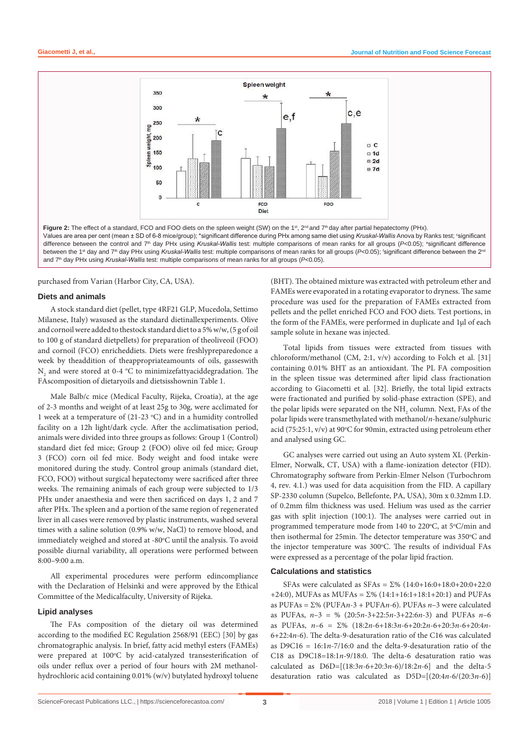

purchased from Varian (Harbor City, CA, USA).

#### **Diets and animals**

A stock standard diet (pellet, type 4RF21 GLP, Mucedola, Settimo Milanese, Italy) wasused as the standard dietinallexperiments. Olive and cornoil were added to thestock standard diet to a 5% w/w, (5 g of oil to 100 g of standard dietpellets) for preparation of theoliveoil (FOO) and cornoil (FCO) enricheddiets. Diets were freshlypreparedonce a week by theaddition of theappropriateamounts of oils, gasseswith  $\mathrm{N}_\mathrm{2}$  and were stored at 0-4 °C to minimizefattyaciddegradation. The FAscomposition of dietaryoils and dietsisshownin Table 1.

Male Balb/c mice (Medical Faculty, Rijeka, Croatia), at the age of 2-3 months and weight of at least 25g to 30g, were acclimated for 1 week at a temperature of  $(21-23 \degree C)$  and in a humidity controlled facility on a 12h light/dark cycle. After the acclimatisation period, animals were divided into three groups as follows: Group 1 (Control) standard diet fed mice; Group 2 (FOO) olive oil fed mice; Group 3 (FCO) corn oil fed mice. Body weight and food intake were monitored during the study. Control group animals (standard diet, FCO, FOO) without surgical hepatectomy were sacrificed after three weeks. The remaining animals of each group were subjected to 1/3 PHx under anaesthesia and were then sacrificed on days 1, 2 and 7 after PHx. The spleen and a portion of the same region of regenerated liver in all cases were removed by plastic instruments, washed several times with a saline solution (0.9% w/w, NaCl) to remove blood, and immediately weighed and stored at -80°C until the analysis. To avoid possible diurnal variability, all operations were performed between 8:00–9:00 a.m.

All experimental procedures were perform edincompliance with the Declaration of Helsinki and were approved by the Ethical Committee of the Medicalfaculty, University of Rijeka.

#### **Lipid analyses**

The FAs composition of the dietary oil was determined according to the modified EC Regulation 2568/91 (EEC) [30] by gas chromatographic analysis. In brief, fatty acid methyl esters (FAMEs) were prepared at 100°C by acid-catalyzed transesterification of oils under reflux over a period of four hours with 2M methanolhydrochloric acid containing 0.01% (w/v) butylated hydroxyl toluene

(BHT). The obtained mixture was extracted with petroleum ether and FAMEs were evaporated in a rotating evaporator to dryness. The same procedure was used for the preparation of FAMEs extracted from pellets and the pellet enriched FCO and FOO diets. Test portions, in the form of the FAMEs, were performed in duplicate and 1µl of each sample solute in hexane was injected.

Total lipids from tissues were extracted from tissues with chloroform/methanol (CM, 2:1, v/v) according to Folch et al. [31] containing 0.01% BHT as an antioxidant. The PL FA composition in the spleen tissue was determined after lipid class fractionation according to Giacometti et al. [32]. Briefly, the total lipid extracts were fractionated and purified by solid-phase extraction (SPE), and the polar lipids were separated on the  $\mathrm{NH}_2$  column. Next, FAs of the polar lipids were transmethylated with methanol/*n*-hexane/sulphuric acid (75:25:1, v/v) at 90°C for 90min, extracted using petroleum ether and analysed using GC.

GC analyses were carried out using an Auto system XL (Perkin-Elmer, Norwalk, CT, USA) with a flame-ionization detector (FID). Chromatography software from Perkin-Elmer Nelson (Turbochrom 4, rev. 4.1.) was used for data acquisition from the FID. A capillary SP-2330 column (Supelco, Bellefonte, PA, USA), 30m x 0.32mm I.D. of 0.2mm film thickness was used. Helium was used as the carrier gas with split injection (100:1). The analyses were carried out in programmed temperature mode from 140 to 220°C, at 5°C/min and then isothermal for 25min. The detector temperature was 350°C and the injector temperature was 300°C. The results of individual FAs were expressed as a percentage of the polar lipid fraction.

#### **Calculations and statistics**

SFAs were calculated as SFAs = Σ% (14:0+16:0+18:0+20:0+22:0 +24:0), MUFAs as MUFAs =  $\Sigma\%$  (14:1+16:1+18:1+20:1) and PUFAs as PUFAs = Σ% (PUFA*n*-3 + PUFA*n*-6). PUFAs *n*–3 were calculated as PUFAs, *n*–3 = % (20:5*n*-3+22:5*n*-3+22:6*n*-3) and PUFAs *n*–6 as PUFAs, *n*–6 = Σ% (18:2*n*-6+18:3*n*-6+20:2*n*-6+20:3*n*-6+20:4*n*-6+22:4*n*-6). The delta-9-desaturation ratio of the C16 was calculated as D9C16 = 16:1*n*-7/16:0 and the delta-9-desaturation ratio of the C18 as D9C18=18:1*n*-9/18:0. The delta-6 desaturation ratio was calculated as D6D=[(18:3*n*-6+20:3*n*-6)/18:2*n*-6] and the delta-5 desaturation ratio was calculated as D5D=[(20:4*n*-6/(20:3*n*-6)]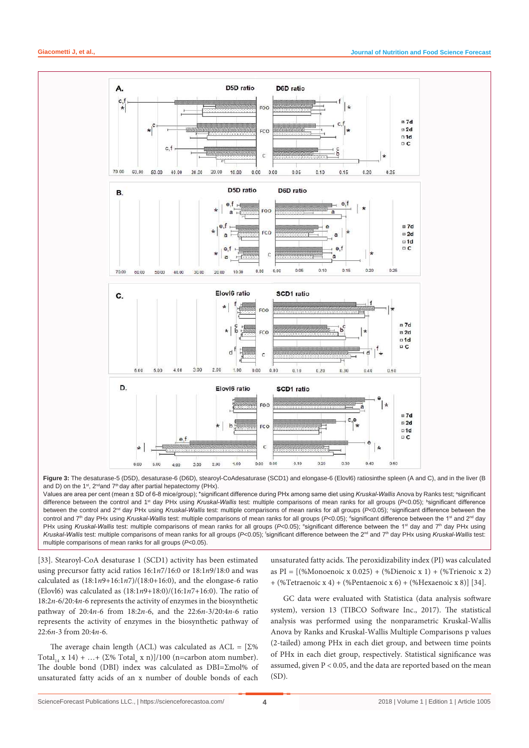

**Figure 3:** The desaturase-5 (D5D), desaturase-6 (D6D), stearoyl-CoAdesaturase (SCD1) and elongase-6 (Elovl6) ratiosinthe spleen (A and C), and in the liver (B and D) on the 1<sup>st</sup>, 2<sup>nd</sup> and 7<sup>th</sup> day after partial hepatectomy (PHx).

Values are area per cent (mean ± SD of 6-8 mice/group); \*significant difference during PHx among same diet using *Kruskal-Wallis* Anova by Ranks test; ªsignificant difference between the control and 1<sup>st</sup> day PHx using *Kruskal-Wallis* test: multiple comparisons of mean ranks for all groups (P<0.05); <sup>b</sup>significant difference between the control and 2<sup>nd</sup> day PHx using *Kruskal-Wallis* test: multiple comparisons of mean ranks for all groups (P<0.05); <sup>c</sup>significant difference between the control and 7<sup>th</sup> day PHx using *Kruskal-Wallis* test: multiple comparisons of mean ranks for all groups (P<0.05); dignificant difference between the 1st and 2<sup>nd</sup> day PHx using *Kruskal-Wallis* test: multiple comparisons of mean ranks for all groups (P<0.05); <sup>e</sup>significant difference between the 1<sup>st</sup> day and 7<sup>th</sup> day PHx using Kruskal-Wallis test: multiple comparisons of mean ranks for all groups (P<0.05); 'significant difference between the 2<sup>nd</sup> and 7<sup>th</sup> day PHx using *Kruskal-Wallis* test: multiple comparisons of mean ranks for all groups (*P*<0.05).

[33]. Stearoyl-CoA desaturase 1 (SCD1) activity has been estimated using precursor fatty acid ratios 16:1*n*7/16:0 or 18:1*n*9/18:0 and was calculated as  $(18:1n9+16:1n7)/(18:0+16:0)$ , and the elongase-6 ratio (Elovl6) was calculated as (18:1*n*9+18:0)/(16:1*n*7+16:0). The ratio of 18:2*n*-6/20:4*n*-6 represents the activity of enzymes in the biosynthetic pathway of 20:4*n*-6 from 18:2*n*-6, and the 22:6*n*-3/20:4*n*-6 ratio represents the activity of enzymes in the biosynthetic pathway of 22:6*n*-3 from 20:4*n*-6.

The average chain length (ACL) was calculated as  $ACL = \sqrt{\Sigma\%}$ Total<sub>14</sub> x 14) + ...+ ( $\Sigma$ % Total<sub>n</sub> x n)]/100 (n=carbon atom number). The double bond (DBI) index was calculated as DBI=Σmol% of unsaturated fatty acids of an x number of double bonds of each

unsaturated fatty acids. The peroxidizability index (PI) was calculated as PI = [(%Monoenoic x 0.025) + (%Dienoic x 1) + (%Trienoic x 2) + (%Tetraenoic x 4) + (%Pentaenoic x 6) + (%Hexaenoic x 8)] [34].

GC data were evaluated with Statistica (data analysis software system), version 13 (TIBCO Software Inc., 2017). The statistical analysis was performed using the nonparametric Kruskal-Wallis Anova by Ranks and Kruskal-Wallis Multiple Comparisons p values (2-tailed) among PHx in each diet group, and between time points of PHx in each diet group, respectively. Statistical significance was assumed, given P < 0.05, and the data are reported based on the mean  $(SD)$ .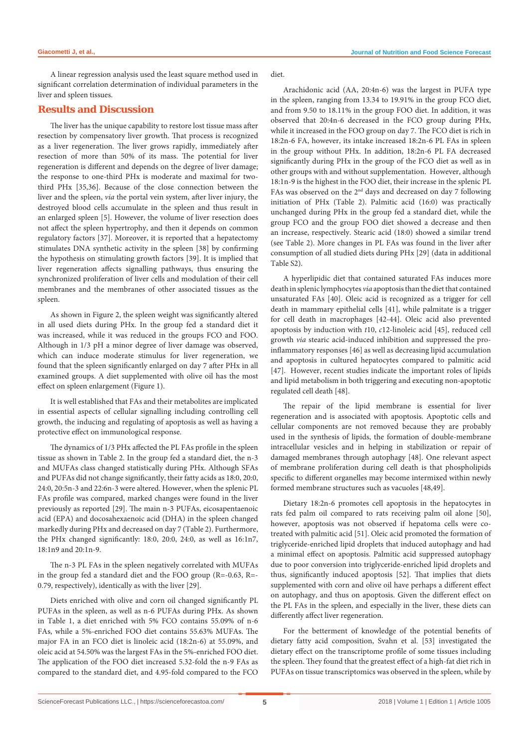A linear regression analysis used the least square method used in significant correlation determination of individual parameters in the liver and spleen tissues.

#### **Results and Discussion**

The liver has the unique capability to restore lost tissue mass after resection by compensatory liver growth. That process is recognized as a liver regeneration. The liver grows rapidly, immediately after resection of more than 50% of its mass. The potential for liver regeneration is different and depends on the degree of liver damage; the response to one-third PHx is moderate and maximal for twothird PHx [35,36]. Because of the close connection between the liver and the spleen, *via* the portal vein system, after liver injury, the destroyed blood cells accumulate in the spleen and thus result in an enlarged spleen [5]. However, the volume of liver resection does not affect the spleen hypertrophy, and then it depends on common regulatory factors [37]. Moreover, it is reported that a hepatectomy stimulates DNA synthetic activity in the spleen [38] by confirming the hypothesis on stimulating growth factors [39]. It is implied that liver regeneration affects signalling pathways, thus ensuring the synchronized proliferation of liver cells and modulation of their cell membranes and the membranes of other associated tissues as the spleen.

As shown in Figure 2, the spleen weight was significantly altered in all used diets during PHx. In the group fed a standard diet it was increased, while it was reduced in the groups FCO and FOO. Although in 1/3 pH a minor degree of liver damage was observed, which can induce moderate stimulus for liver regeneration, we found that the spleen significantly enlarged on day 7 after PHx in all examined groups. A diet supplemented with olive oil has the most effect on spleen enlargement (Figure 1).

It is well established that FAs and their metabolites are implicated in essential aspects of cellular signalling including controlling cell growth, the inducing and regulating of apoptosis as well as having a protective effect on immunological response.

The dynamics of 1/3 PHx affected the PL FAs profile in the spleen tissue as shown in Table 2. In the group fed a standard diet, the n-3 and MUFAs class changed statistically during PHx. Although SFAs and PUFAs did not change significantly, their fatty acids as 18:0, 20:0, 24:0, 20:5n-3 and 22:6n-3 were altered. However, when the splenic PL FAs profile was compared, marked changes were found in the liver previously as reported [29]. The main n-3 PUFAs, eicosapentaenoic acid (EPA) and docosahexaenoic acid (DHA) in the spleen changed markedly during PHx and decreased on day 7 (Table 2). Furthermore, the PHx changed significantly: 18:0, 20:0, 24:0, as well as 16:1n7, 18:1n9 and 20:1n-9.

The n-3 PL FAs in the spleen negatively correlated with MUFAs in the group fed a standard diet and the FOO group (R=-0.63, R=- 0.79, respectively), identically as with the liver [29].

Diets enriched with olive and corn oil changed significantly PL PUFAs in the spleen, as well as n-6 PUFAs during PHx. As shown in Table 1, a diet enriched with 5% FCO contains 55.09% of n-6 FAs, while a 5%-enriched FOO diet contains 55.63% MUFAs. The major FA in an FCO diet is linoleic acid (18:2n-6) at 55.09%, and oleic acid at 54.50% was the largest FAs in the 5%-enriched FOO diet. The application of the FOO diet increased 5.32-fold the n-9 FAs as compared to the standard diet, and 4.95-fold compared to the FCO diet.

Arachidonic acid (AA, 20:4n-6) was the largest in PUFA type in the spleen, ranging from 13.34 to 19.91% in the group FCO diet, and from 9.50 to 18.11% in the group FOO diet. In addition, it was observed that 20:4n-6 decreased in the FCO group during PHx, while it increased in the FOO group on day 7. The FCO diet is rich in 18:2n-6 FA, however, its intake increased 18:2n-6 PL FAs in spleen in the group without PHx. In addition, 18:2n-6 PL FA decreased significantly during PHx in the group of the FCO diet as well as in other groups with and without supplementation. However, although 18:1n-9 is the highest in the FOO diet, their increase in the splenic PL FAs was observed on the  $2<sup>nd</sup>$  days and decreased on day 7 following initiation of PHx (Table 2). Palmitic acid (16:0) was practically unchanged during PHx in the group fed a standard diet, while the group FCO and the group FOO diet showed a decrease and then an increase, respectively. Stearic acid (18:0) showed a similar trend (see Table 2). More changes in PL FAs was found in the liver after consumption of all studied diets during PHx [29] (data in additional Table S2).

A hyperlipidic diet that contained saturated FAs induces more death in splenic lymphocytes *via* apoptosis than the diet that contained unsaturated FAs [40]. Oleic acid is recognized as a trigger for cell death in mammary epithelial cells [41], while palmitate is a trigger for cell death in macrophages [42-44]. Oleic acid also prevented apoptosis by induction with *t*10, *c*12-linoleic acid [45], reduced cell growth *via* stearic acid-induced inhibition and suppressed the proinflammatory responses [46] as well as decreasing lipid accumulation and apoptosis in cultured hepatocytes compared to palmitic acid [47]. However, recent studies indicate the important roles of lipids and lipid metabolism in both triggering and executing non-apoptotic regulated cell death [48].

The repair of the lipid membrane is essential for liver regeneration and is associated with apoptosis. Apoptotic cells and cellular components are not removed because they are probably used in the synthesis of lipids, the formation of double-membrane intracellular vesicles and in helping in stabilization or repair of damaged membranes through autophagy [48]. One relevant aspect of membrane proliferation during cell death is that phospholipids specific to different organelles may become intermixed within newly formed membrane structures such as vacuoles [48,49].

Dietary 18:2n-6 promotes cell apoptosis in the hepatocytes in rats fed palm oil compared to rats receiving palm oil alone [50], however, apoptosis was not observed if hepatoma cells were cotreated with palmitic acid [51]. Oleic acid promoted the formation of triglyceride-enriched lipid droplets that induced autophagy and had a minimal effect on apoptosis. Palmitic acid suppressed autophagy due to poor conversion into triglyceride-enriched lipid droplets and thus, significantly induced apoptosis [52]. That implies that diets supplemented with corn and olive oil have perhaps a different effect on autophagy, and thus on apoptosis. Given the different effect on the PL FAs in the spleen, and especially in the liver, these diets can differently affect liver regeneration.

For the betterment of knowledge of the potential benefits of dietary fatty acid composition, Svahn et al. [53] investigated the dietary effect on the transcriptome profile of some tissues including the spleen. They found that the greatest effect of a high-fat diet rich in PUFAs on tissue transcriptomics was observed in the spleen, while by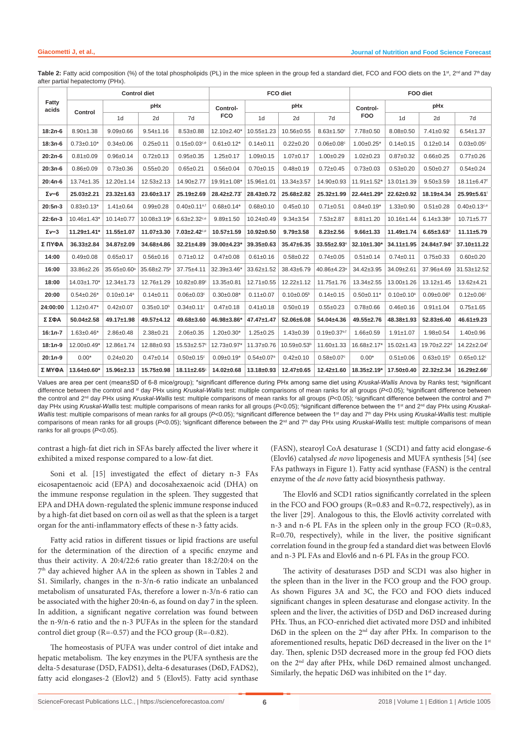| Fatty<br>acids | <b>Control diet</b> |                              |                          |                                | FCO diet           |                              |                              | FOO diet                       |                    |                              |                              |                              |
|----------------|---------------------|------------------------------|--------------------------|--------------------------------|--------------------|------------------------------|------------------------------|--------------------------------|--------------------|------------------------------|------------------------------|------------------------------|
|                | Control             | pHx                          |                          |                                | Control-           | pHx                          |                              | Control-                       | pHx                |                              |                              |                              |
|                |                     | 1 <sub>d</sub>               | 2d                       | 7d                             | <b>FCO</b>         | 1 <sub>d</sub>               | 2d                           | 7d                             | <b>FOO</b>         | 1 <sub>d</sub>               | 2d                           | 7d                           |
| $18:2n-6$      | $8.90 + 1.38$       | $9.09 + 0.66$                | $9.54 \pm 1.16$          | $8.53 \pm 0.88$                | $12.10 \pm 2.40^*$ | $10.55 \pm 1.23$             | 10.56±0.55                   | $8.63 \pm 1.50$ <sup>c</sup>   | 7.78±0.50          | $8.08 \pm 0.50$              | $7.41 \pm 0.92$              | $6.54 \pm 1.37$              |
| $18:3n-6$      | $0.73 \pm 0.10^*$   | $0.34 \pm 0.06$              | $0.25 + 0.11$            | $0.15 \pm 0.03$ <sub>c,e</sub> | $0.61 \pm 0.12$ *  | $0.14 \pm 0.11$              | $0.22 + 0.20$                | $0.06 \pm 0.08$ <sup>c</sup>   | $1.00 \pm 0.25$ *  | $0.14 \pm 0.15$              | $0.12 \pm 0.14$              | $0.03 \pm 0.05$ °            |
| $20:2n-6$      | $0.81 \pm 0.09$     | $0.96 + 0.14$                | $0.72 \pm 0.13$          | $0.95 + 0.35$                  | $1.25 \pm 0.17$    | $1.09 + 0.15$                | $1.07 + 0.17$                | $1.00 + 0.29$                  | $1.02 \pm 0.23$    | $0.87 + 0.32$                | $0.66 \pm 0.25$              | $0.77 + 0.26$                |
| $20:3n-6$      | $0.86 + 0.09$       | $0.73 + 0.36$                | $0.55 + 0.20$            | $0.65 \pm 0.21$                | $0.56 \pm 0.04$    | $0.70 + 0.15$                | $0.48 + 0.19$                | $0.72 \pm 0.45$                | $0.73 \pm 0.03$    | $0.53 + 0.20$                | $0.50 + 0.27$                | $0.54 \pm 0.24$              |
| $20:4n-6$      | 13.74±1.35          | $12.20 \pm 1.14$             | $12.53 \pm 2.13$         | 14.90±2.77                     | 19.91±1.08*        | 15.96±1.01                   | $13.34 \pm 3.57$             | 14.90±0.93                     | $11.91 \pm 1.52$ * | $13.01 \pm 1.39$             | $9.50 + 3.59$                | 18.11±6.47 <sup>f</sup>      |
| $\Sigma v - 6$ | $25.03 \pm 2.21$    | $23.32 \pm 1.63$             | 23.60±3.17               | $25.19 \pm 2.69$               | $28.42 \pm 2.73$   | $28.43 \pm 0.72$             | $25.68 \pm 2.82$             | $25.32 \pm 1.99$               | $22.44 \pm 1.29$ * | 22.62±0.92                   | $18.19 + 4.34$               | 25.99±5.61                   |
| $20:5n-3$      | $0.83 \pm 0.13$ *   | $1.41 \pm 0.64$              | $0.99 + 0.28$            | $0.40 \pm 0.11$ <sup>e,f</sup> | $0.68 \pm 0.14*$   | $0.68 + 0.10$                | $0.45 + 0.10$                | $0.71 \pm 0.51$                | $0.84 \pm 0.19*$   | $1.33 + 0.90$                | $0.51 + 0.28$                | $0.40 \pm 0.13^{c,e}$        |
| $22:6n-3$      | 10.46±1.43'         | $10.14 \pm 0.77$             | 10.08±3.19 <sup>b</sup>  | $6.63 \pm 2.32$ <sub>ce</sub>  | $9.89 + 1.50$      | $10.24 \pm 0.49$             | $9.34 \pm 3.54$              | $7.53 \pm 2.87$                | $8.81 \pm 1.20$    | 10.16±1.44                   | $6.14 \pm 3.38$ <sup>d</sup> | $10.71 + 5.77$               |
| $\Sigma v - 3$ | $11.29 + 1.41*$     | $11.55 \pm 1.07$             | $11.07 + 3.30$           | $7.03 \pm 2.42$ c,e            | $10.57 + 1.59$     | $10.92 \pm 0.50$             | $9.79 \pm 3.58$              | $8.23 \pm 2.56$                | $9.66 \pm 1.33$    | $11.49 \pm 1.74$             | $6.65 \pm 3.63$ <sup>d</sup> | $11.11 \pm 5.79$             |
| Σ ΠΥΦΑ         | $36.33 \pm 2.84$    | 34.87±2.09                   | 34.68±4.86               | $32.21 \pm 4.89$               | 39.00±4.23*        | $39.35 \pm 0.63$             | $35.47 \pm 6.35$             | $33.55 + 2.93$ <sup>e</sup>    | 32.10±1.30*        | $34.11 \pm 1.95$             | 24.84±7.94 <sup>d</sup>      | 37.10±11.22                  |
| 14:00          | $0.49 \pm 0.08$     | $0.65 + 0.17$                | $0.56 + 0.16$            | $0.71 \pm 0.12$                | $0.47 + 0.08$      | $0.61 \pm 0.16$              | $0.58 + 0.22$                | $0.74 \pm 0.05$                | $0.51 \pm 0.14$    | $0.74 \pm 0.11$              | $0.75 \pm 0.33$              | $0.60 + 0.20$                |
| 16:00          | 33.86±2.26          | 35.65±0.60 <sup>a</sup>      | $35.68 \pm 2.75^{\circ}$ | $37.75 + 4.11$                 | 32.39±3.46*        | 33.62±1.52                   | 38.43±6.79                   | 40.86±4.23 <sup>e</sup>        | 34.42±3.95         | 34.09±2.61                   | 37.96±4.69                   | 31.53±12.52                  |
| 18:00          | 14.03±1.70*         | $12.34 \pm 1.73$             | 12.76±1.29               | 10.82±0.89 <sup>c</sup>        | 13.35±0.81         | $12.71 \pm 0.55$             | $12.22 \pm 1.12$             | $11.75 \pm 1.76$               | 13.34±2.55         | 13.00±1.26                   | $13.12 \pm 1.45$             | 13.62±4.21                   |
| 20:00          | $0.54 \pm 0.26$ *   | $0.10 \pm 0.14$ <sup>a</sup> | $0.14 \pm 0.11$          | $0.06 \pm 0.03$ <sup>c</sup>   | $0.30 \pm 0.08*$   | $0.11 \pm 0.07$              | $0.10 \pm 0.05$ <sup>b</sup> | $0.14 \pm 0.15$                | $0.50 \pm 0.11$ *  | $0.10 \pm 0.10$ <sup>a</sup> | $0.09 \pm 0.06$ b            | $0.12 \pm 0.06$ c            |
| 24:00:00       | $1.12 \pm 0.47$ *   | $0.42 \pm 0.07$              | $0.35 \pm 0.10^b$        | $0.34 \pm 0.11$ <sup>c</sup>   | $0.47 + 0.18$      | $0.41 \pm 0.18$              | $0.50 + 0.19$                | $0.55 + 0.23$                  | $0.78 + 0.66$      | $0.46 \pm 0.16$              | $0.91 + 1.04$                | $0.75 + 1.65$                |
| Σ ΣΦΑ          | $50.04 \pm 2.58$    | 49.17±1.98                   | $49.57 + 4.12$           | 49.68±3.60                     | 46.98±3.86*        | 47.47±1.47                   | 52.06±6.08                   | 54.04±4.36                     | 49.55±2.76         | 48.38±1.93                   | $52.83 + 6.40$               | $46.61 \pm 9.23$             |
| $16:1n-7$      | $1.63 \pm 0.46^*$   | $2.86 \pm 0.48$              | $2.38 + 0.21$            | $2.06 \pm 0.35$                | $1.20 \pm 0.30^*$  | $1.25 \pm 0.25$              | $1.43 \pm 0.39$              | $0.19 \pm 0.37$ <sup>e,f</sup> | $1.66 \pm 0.59$    | $1.91 \pm 1.07$              | $1.98 + 0.54$                | $1.40 + 0.96$                |
| $18:1n-9$      | $12.00+0.49*$       | 12.86±1.74                   | 12.88±0.93               | $15.53 \pm 2.57$ °             | 12.73±0.97*        | 11.37±0.76                   | 10.59±0.53 <sup>b</sup>      | 11.60±1.33                     | 16.68±2.17*        | $15.02 \pm 1.43$             | 19.70±2.22 <sup>d</sup>      | 14.22±2.04 <sup>f</sup>      |
| $20:1n-9$      | $0.00*$             | $0.24 \pm 0.20$              | $0.47 + 0.14$            | $0.50 \pm 0.15$ °              | $0.09 \pm 0.19*$   | $0.54 \pm 0.07$ <sup>a</sup> | $0.42{\pm}0.10$              | $0.58 \pm 0.07$ <sup>c</sup>   | $0.00*$            | $0.51 \pm 0.06$              | $0.63 \pm 0.15^{\circ}$      | $0.65 \pm 0.12$ <sup>c</sup> |
| Σ ΜΥΦΑ         | $13.64 \pm 0.60^*$  | $15.96 \pm 2.13$             | 15.75±0.98               | 18.11±2.65°                    | 14.02±0.68         | 13.18±0.93                   | $12.47 \pm 0.65$             | $12.42 \pm 1.60$               | $18.35 \pm 2.19^*$ | 17.50±0.40                   | $22.32 \pm 2.34$             | 16.29±2.66                   |

Table 2: Fatty acid composition (%) of the total phospholipids (PL) in the mice spleen in the group fed a standard diet, FCO and FOO diets on the 1st, 2<sup>nd</sup> and 7<sup>th</sup> day after partial hepatectomy (PHx).

Values are area per cent (mean±SD of 6-8 mice/group); \*significant difference during PHx among same diet using *Kruskal-Wallis* Anova by Ranks test; ªsignificant difference between the control and <sup>st</sup> day PHx using *Kruskal-Wallis* test: multiple comparisons of mean ranks for all groups (P<0.05); <sup>b</sup>significant difference between the control and 2<sup>nd</sup> day PHx using *Kruskal-Wallis* test: multiple comparisons of mean ranks for all groups (*P<*0.05); °significant difference between the control and 7<sup>t</sup> day PHx using *Kruskal-Wallis* test: multiple comparisons of mean ranks for all groups (*P<*0.05); dsignificant difference between the 1st and 2nd day PHx using *Kruskal-*Wallis test: multiple comparisons of mean ranks for all groups (P<0.05); <sup>e</sup>significant difference between the 1<sup>st</sup> day and 7<sup>th</sup> day PHx using *Kruskal-Wallis* test: multiple comparisons of mean ranks for all groups (P<0.05); <sup>r</sup>significant difference between the 2<sup>nd</sup> and 7<sup>th</sup> day PHx using *Kruskal-Wallis* test: multiple comparisons of mean ranks for all groups (*P*<0.05).

contrast a high-fat diet rich in SFAs barely affected the liver where it exhibited a mixed response compared to a low-fat diet.

Soni et al. [15] investigated the effect of dietary n-3 FAs eicosapentaenoic acid (EPA) and docosahexaenoic acid (DHA) on the immune response regulation in the spleen. They suggested that EPA and DHA down-regulated the splenic immune response induced by a high-fat diet based on corn oil as well as that the spleen is a target organ for the anti-inflammatory effects of these n-3 fatty acids.

Fatty acid ratios in different tissues or lipid fractions are useful for the determination of the direction of a specific enzyme and thus their activity. A 20:4/22:6 ratio greater than 18:2/20:4 on the 7th day achieved higher AA in the spleen as shown in Tables 2 and S1. Similarly, changes in the n-3/n-6 ratio indicate an unbalanced metabolism of unsaturated FAs, therefore a lower n-3/n-6 ratio can be associated with the higher 20:4n-6, as found on day 7 in the spleen. In addition, a significant negative correlation was found between the n-9/n-6 ratio and the n-3 PUFAs in the spleen for the standard control diet group (R=-0.57) and the FCO group (R=-0.82).

The homeostasis of PUFA was under control of diet intake and hepatic metabolism. The key enzymes in the PUFA synthesis are the delta-5 desaturase (D5D, FADS1), delta-6 desaturases (D6D, FADS2), fatty acid elongases-2 (Elovl2) and 5 (Elovl5). Fatty acid synthase

(FASN), stearoyl CoA desaturase 1 (SCD1) and fatty acid elongase-6 (Elovl6) catalysed *de novo* lipogenesis and MUFA synthesis [54] (see FAs pathways in Figure 1). Fatty acid synthase (FASN) is the central enzyme of the *de novo* fatty acid biosynthesis pathway.

The Elovl6 and SCD1 ratios significantly correlated in the spleen in the FCO and FOO groups (R=0.83 and R=0.72, respectively), as in the liver [29]. Analogous to this, the Elovl6 activity correlated with n-3 and n-6 PL FAs in the spleen only in the group FCO (R=0.83, R=0.70, respectively), while in the liver, the positive significant correlation found in the group fed a standard diet was between Elovl6 and n-3 PL FAs and Elovl6 and n-6 PL FAs in the group FCO.

The activity of desaturases D5D and SCD1 was also higher in the spleen than in the liver in the FCO group and the FOO group. As shown Figures 3A and 3C, the FCO and FOO diets induced significant changes in spleen desaturase and elongase activity. In the spleen and the liver, the activities of D5D and D6D increased during PHx. Thus, an FCO-enriched diet activated more D5D and inhibited D6D in the spleen on the 2<sup>nd</sup> day after PHx. In comparison to the aforementioned results, hepatic D6D decreased in the liver on the 1st day. Then, splenic D5D decreased more in the group fed FOO diets on the 2nd day after PHx, while D6D remained almost unchanged. Similarly, the hepatic D6D was inhibited on the  $1<sup>st</sup>$  day.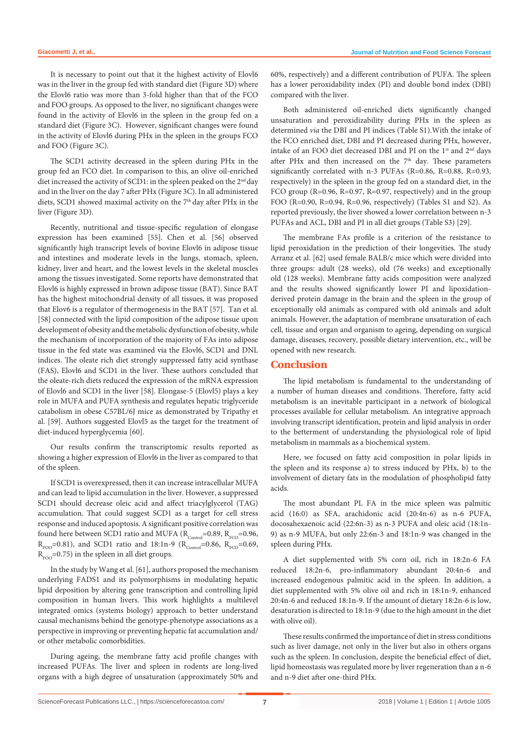It is necessary to point out that it the highest activity of Elovl6 was in the liver in the group fed with standard diet (Figure 3D) where the Elovl6 ratio was more than 3-fold higher than that of the FCO and FOO groups. As opposed to the liver, no significant changes were found in the activity of Elovl6 in the spleen in the group fed on a standard diet (Figure 3C). However, significant changes were found in the activity of Elovl6 during PHx in the spleen in the groups FCO and FOO (Figure 3C).

The SCD1 activity decreased in the spleen during PHx in the group fed an FCO diet. In comparison to this, an olive oil-enriched diet increased the activity of SCD1: in the spleen peaked on the 2<sup>nd</sup> day and in the liver on the day 7 after PHx (Figure 3C). In all administered diets, SCD1 showed maximal activity on the  $7<sup>th</sup>$  day after PHx in the liver (Figure 3D).

Recently, nutritional and tissue-specific regulation of elongase expression has been examined [55]. Chen et al. [56] observed significantly high transcript levels of bovine Elovl6 in adipose tissue and intestines and moderate levels in the lungs, stomach, spleen, kidney, liver and heart, and the lowest levels in the skeletal muscles among the tissues investigated. Some reports have demonstrated that Elovl6 is highly expressed in brown adipose tissue (BAT). Since BAT has the highest mitochondrial density of all tissues, it was proposed that Elov6 is a regulator of thermogenesis in the BAT [57]. Tan et al. [58] connected with the lipid composition of the adipose tissue upon development of obesity and the metabolic dysfunction of obesity, while the mechanism of incorporation of the majority of FAs into adipose tissue in the fed state was examined via the Elovl6, SCD1 and DNL indices. The oleate rich diet strongly suppressed fatty acid synthase (FAS), Elovl6 and SCD1 in the liver. These authors concluded that the oleate-rich diets reduced the expression of the mRNA expression of Elovl6 and SCD1 in the liver [58]. Elongase-5 (Elovl5) plays a key role in MUFA and PUFA synthesis and regulates hepatic triglyceride catabolism in obese C57BL/6J mice as demonstrated by Tripathy et al. [59]. Authors suggested Elovl5 as the target for the treatment of diet-induced hyperglycemia [60].

Our results confirm the transcriptomic results reported as showing a higher expression of Elovl6 in the liver as compared to that of the spleen.

If SCD1 is overexpressed, then it can increase intracellular MUFA and can lead to lipid accumulation in the liver. However, a suppressed SCD1 should decrease oleic acid and affect triacylglycerol (TAG) accumulation. That could suggest SCD1 as a target for cell stress response and induced apoptosis. A significant positive correlation was found here between SCD1 ratio and MUFA ( $R_{\text{Control}}$ =0.89,  $R_{\text{FCO}}$ =0.96,  $R_{FOO}$ =0.81), and SCD1 ratio and 18:1n-9 ( $R_{\text{Control}}$ =0.86,  $R_{FCO}$ =0.69,  $R_{EOO} = 0.75$ ) in the spleen in all diet groups.

In the study by Wang et al. [61], authors proposed the mechanism underlying FADS1 and its polymorphisms in modulating hepatic lipid deposition by altering gene transcription and controlling lipid composition in human livers. This work highlights a multilevel integrated omics (systems biology) approach to better understand causal mechanisms behind the genotype-phenotype associations as a perspective in improving or preventing hepatic fat accumulation and/ or other metabolic comorbidities.

During ageing, the membrane fatty acid profile changes with increased PUFAs. The liver and spleen in rodents are long-lived organs with a high degree of unsaturation (approximately 50% and 60%, respectively) and a different contribution of PUFA. The spleen has a lower peroxidability index (PI) and double bond index (DBI) compared with the liver.

Both administered oil-enriched diets significantly changed unsaturation and peroxidizability during PHx in the spleen as determined *via* the DBI and PI indices (Table S1).With the intake of the FCO enriched diet, DBI and PI decreased during PHx, however, intake of an FOO diet decreased DBI and PI on the 1<sup>st</sup> and 2<sup>nd</sup> days after PHx and then increased on the  $7<sup>th</sup>$  day. These parameters significantly correlated with n-3 PUFAs (R=0.86, R=0.88, R=0.93, respectively) in the spleen in the group fed on a standard diet, in the FCO group ( $R=0.96$ ,  $R=0.97$ ,  $R=0.97$ , respectively) and in the group FOO (R=0.90, R=0.94, R=0.96, respectively) (Tables S1 and S2). As reported previously, the liver showed a lower correlation between n-3 PUFAs and ACL, DBI and PI in all diet groups (Table S3) [29].

The membrane FAs profile is a criterion of the resistance to lipid peroxidation in the prediction of their longevities. The study Arranz et al. [62] used female BALB/c mice which were divided into three groups: adult (28 weeks), old (76 weeks) and exceptionally old (128 weeks). Membrane fatty acids composition were analyzed and the results showed significantly lower PI and lipoxidationderived protein damage in the brain and the spleen in the group of exceptionally old animals as compared with old animals and adult animals. However, the adaptation of membrane unsaturation of each cell, tissue and organ and organism to ageing, depending on surgical damage, diseases, recovery, possible dietary intervention, etc., will be opened with new research.

## **Conclusion**

The lipid metabolism is fundamental to the understanding of a number of human diseases and conditions. Therefore, fatty acid metabolism is an inevitable participant in a network of biological processes available for cellular metabolism. An integrative approach involving transcript identification, protein and lipid analysis in order to the betterment of understanding the physiological role of lipid metabolism in mammals as a biochemical system.

Here, we focused on fatty acid composition in polar lipids in the spleen and its response a) to stress induced by PHx, b) to the involvement of dietary fats in the modulation of phospholipid fatty acids.

The most abundant PL FA in the mice spleen was palmitic acid (16:0) as SFA, arachidonic acid (20:4n-6) as n-6 PUFA, docosahexaenoic acid (22:6n-3) as n-3 PUFA and oleic acid (18:1n-9) as n-9 MUFA, but only 22:6n-3 and 18:1n-9 was changed in the spleen during PHx.

A diet supplemented with 5% corn oil, rich in 18:2n-6 FA reduced 18:2n-6, pro-inflammatory abundant 20:4n-6 and increased endogenous palmitic acid in the spleen. In addition, a diet supplemented with 5% olive oil and rich in 18:1n-9, enhanced 20:4n-6 and reduced 18:1n-9. If the amount of dietary 18:2n-6 is low, desaturation is directed to 18:1n-9 (due to the high amount in the diet with olive oil).

These results confirmed the importance of diet in stress conditions such as liver damage, not only in the liver but also in others organs such as the spleen. In conclusion, despite the beneficial effect of diet, lipid homeostasis was regulated more by liver regeneration than a n-6 and n-9 diet after one-third PHx.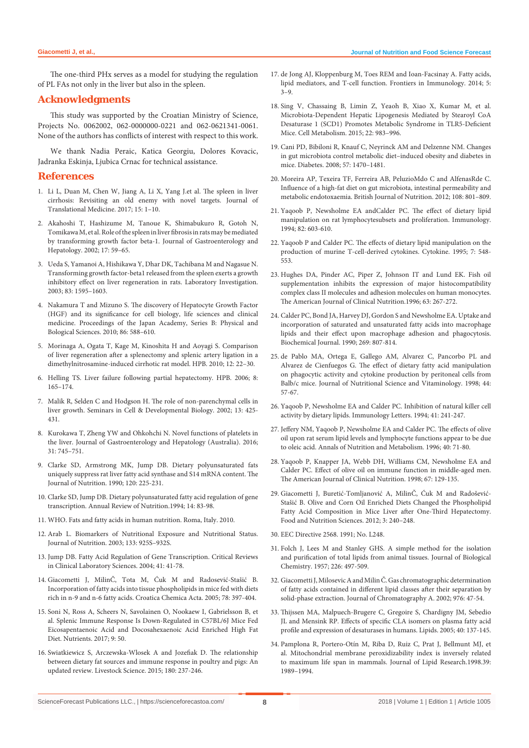The one-third PHx serves as a model for studying the regulation of PL FAs not only in the liver but also in the spleen.

#### **Acknowledgments**

This study was supported by the Croatian Ministry of Science, Projects No. 0062002, 062-0000000-0221 and 062-0621341-0061. None of the authors has conflicts of interest with respect to this work.

We thank Nadia Peraic, Katica Georgiu, Dolores Kovacic, Jadranka Eskinja, Ljubica Crnac for technical assistance.

#### **References**

- 1. [Li L, Duan M, Chen W, Jiang A, Li X, Yang J.et al. The spleen in liver](https://translational-medicine.biomedcentral.com/articles/10.1186/s12967-017-1214-8)  [cirrhosis: Revisiting an old enemy with novel targets. Journal of](https://translational-medicine.biomedcentral.com/articles/10.1186/s12967-017-1214-8)  [Translational Medicine. 2017; 15: 1–10.](https://translational-medicine.biomedcentral.com/articles/10.1186/s12967-017-1214-8)
- 2. [Akahoshi T, Hashizume M, Tanoue K, Shimabukuro R, Gotoh N,](https://www.ncbi.nlm.nih.gov/pubmed/11895554)  [Tomikawa M, et al. Role of the spleen in liver fibrosis in rats may be mediated](https://www.ncbi.nlm.nih.gov/pubmed/11895554)  [by transforming growth factor beta-1. Journal of Gastroenterology and](https://www.ncbi.nlm.nih.gov/pubmed/11895554)  [Hepatology. 2002; 17: 59–65.](https://www.ncbi.nlm.nih.gov/pubmed/11895554)
- 3. [Ueda S, Yamanoi A, Hishikawa Y, Dhar DK, Tachibana M and Nagasue N.](https://www.ncbi.nlm.nih.gov/pubmed/14615413)  [Transforming growth factor-beta1 released from the spleen exerts a growth](https://www.ncbi.nlm.nih.gov/pubmed/14615413)  [inhibitory effect on liver regeneration in rats. Laboratory Investigation.](https://www.ncbi.nlm.nih.gov/pubmed/14615413)  [2003; 83: 1595–1603.](https://www.ncbi.nlm.nih.gov/pubmed/14615413)
- 4. [Nakamura T and Mizuno S. The discovery of Hepatocyte Growth Factor](https://www.ncbi.nlm.nih.gov/pubmed/20551596)  [\(HGF\) and its significance for cell biology, life sciences and clinical](https://www.ncbi.nlm.nih.gov/pubmed/20551596)  [medicine. Proceedings of the Japan Academy, Series B: Physical and](https://www.ncbi.nlm.nih.gov/pubmed/20551596)  [Bological Sciences. 2010; 86: 588–610.](https://www.ncbi.nlm.nih.gov/pubmed/20551596)
- 5. [Morinaga A, Ogata T, Kage M, Kinoshita H and Aoyagi S. Comparison](https://www.ncbi.nlm.nih.gov/pubmed/20495641)  [of liver regeneration after a splenectomy and splenic artery ligation in a](https://www.ncbi.nlm.nih.gov/pubmed/20495641)  [dimethylnitrosamine-induced cirrhotic rat model. HPB. 2010; 12: 22–30.](https://www.ncbi.nlm.nih.gov/pubmed/20495641)
- 6. [Helling TS. Liver failure following partial hepatectomy. HPB. 2006; 8:](https://www.ncbi.nlm.nih.gov/pmc/articles/PMC2131683/)  [165–174.](https://www.ncbi.nlm.nih.gov/pmc/articles/PMC2131683/)
- 7. [Malik R, Selden C and Hodgson H. The role of non-parenchymal cells in](https://www.ncbi.nlm.nih.gov/pubmed/12468243)  [liver growth. Seminars in Cell & Developmental Biology. 2002; 13: 425-](https://www.ncbi.nlm.nih.gov/pubmed/12468243) [431.](https://www.ncbi.nlm.nih.gov/pubmed/12468243)
- 8. [Kurokawa T, Zheng YW and Ohkohchi N. Novel functions of platelets in](https://www.ncbi.nlm.nih.gov/pubmed/26632220)  [the liver. Journal of Gastroenterology and Hepatology \(Australia\). 2016;](https://www.ncbi.nlm.nih.gov/pubmed/26632220)  [31: 745–751.](https://www.ncbi.nlm.nih.gov/pubmed/26632220)
- 9. [Clarke SD, Armstrong MK, Jump DB. Dietary polyunsaturated fats](https://www.ncbi.nlm.nih.gov/pubmed/2313387)  [uniquely suppress rat liver fatty acid synthase and S14 mRNA content. The](https://www.ncbi.nlm.nih.gov/pubmed/2313387)  [Journal of Nutrition. 1990; 120: 225-231.](https://www.ncbi.nlm.nih.gov/pubmed/2313387)
- 10. [Clarke SD, Jump DB. Dietary polyunsaturated fatty acid regulation of gene](https://www.annualreviews.org/doi/10.1146/annurev.nu.14.070194.000503)  [transcription. Annual Review of Nutrition.1994; 14: 83-98.](https://www.annualreviews.org/doi/10.1146/annurev.nu.14.070194.000503)
- 11. [WHO. Fats and fatty acids in human nutrition. Roma, Italy. 2010.](http://www.who.int/nutrition/publications/nutrientrequirements/fatsandfattyacids_humannutrition/en/)
- 12. [Arab L. Biomarkers of Nutritional Exposure and Nutritional Status.](https://academic.oup.com/jn/article/133/3/873S/4688049)  [Journal of Nutrition. 2003; 133: 925S–932S.](https://academic.oup.com/jn/article/133/3/873S/4688049)
- 13. [Jump DB. Fatty Acid Regulation of Gene Transcription. Critical Reviews](https://www.tandfonline.com/doi/abs/10.1080/10408360490278341)  [in Clinical Laboratory Sciences. 2004; 41: 41-78.](https://www.tandfonline.com/doi/abs/10.1080/10408360490278341)
- 14. [Giacometti J, MilinČ, Tota M, Ćuk M and Radosević-Stašić B.](https://hrcak.srce.hr/index.php?show=clanak&id_clanak_jezik=49)  [Incorporation of fatty acids into tissue phospholipids in mice fed with diets](https://hrcak.srce.hr/index.php?show=clanak&id_clanak_jezik=49)  [rich in n-9 and n-6 fatty acids. Croatica Chemica Acta. 2005; 78: 397-404.](https://hrcak.srce.hr/index.php?show=clanak&id_clanak_jezik=49)
- 15. [Soni N, Ross A, Scheers N, Savolainen O, Nookaew I, Gabrielsson B, et](https://www.ncbi.nlm.nih.gov/pmc/articles/PMC5295094/)  [al. Splenic Immune Response Is Down-Regulated in C57BL/6J Mice Fed](https://www.ncbi.nlm.nih.gov/pmc/articles/PMC5295094/)  [Eicosapentaenoic Acid and Docosahexaenoic Acid Enriched High Fat](https://www.ncbi.nlm.nih.gov/pmc/articles/PMC5295094/)  [Diet. Nutrients. 2017; 9: 50.](https://www.ncbi.nlm.nih.gov/pmc/articles/PMC5295094/)
- 16. [Swiatkiewicz S, Arczewska-Wlosek A and Jozefiak D. The relationship](https://www.sciencedirect.com/science/article/pii/S1871141315003558)  [between dietary fat sources and immune response in poultry and pigs: An](https://www.sciencedirect.com/science/article/pii/S1871141315003558)  [updated review. Livestock Science. 2015; 180: 237-246.](https://www.sciencedirect.com/science/article/pii/S1871141315003558)
- 17. [de Jong AJ, Kloppenburg M, Toes REM and Ioan-Facsinay A. Fatty acids,](https://www.frontiersin.org/articles/10.3389/fimmu.2014.00483/full)  [lipid mediators, and T-cell function. Frontiers in Immunology. 2014; 5:](https://www.frontiersin.org/articles/10.3389/fimmu.2014.00483/full)  [3–9.](https://www.frontiersin.org/articles/10.3389/fimmu.2014.00483/full)
- 18. [Sing V, Chassaing B, Limin Z, Yeaoh B, Xiao X, Kumar M, et al.](https://www.ncbi.nlm.nih.gov/pubmed/26525535)  [Microbiota-Dependent Hepatic Lipogenesis Mediated by Stearoyl CoA](https://www.ncbi.nlm.nih.gov/pubmed/26525535)  [Desaturase 1 \(SCD1\) Promotes Metabolic Syndrome in TLR5-Deficient](https://www.ncbi.nlm.nih.gov/pubmed/26525535)  [Mice. Cell Metabolism. 2015; 22: 983–996.](https://www.ncbi.nlm.nih.gov/pubmed/26525535)
- 19. [Cani PD, Bibiloni R, Knauf C, Neyrinck AM and Delzenne NM. Changes](https://www.ncbi.nlm.nih.gov/pubmed/18305141)  [in gut microbiota control metabolic diet–induced obesity and diabetes in](https://www.ncbi.nlm.nih.gov/pubmed/18305141)  [mice. Diabetes. 2008; 57: 1470–1481.](https://www.ncbi.nlm.nih.gov/pubmed/18305141)
- 20. [Moreira AP, Texeira TF, Ferreira AB, PeluzioMdo C and AlfenasRde C.](https://www.ncbi.nlm.nih.gov/pubmed/22717075)  [Influence of a high-fat diet on gut microbiota, intestinal permeability and](https://www.ncbi.nlm.nih.gov/pubmed/22717075)  [metabolic endotoxaemia. British Journal of Nutrition. 2012; 108: 801–809.](https://www.ncbi.nlm.nih.gov/pubmed/22717075)
- 21. [Yaqoob P, Newsholme EA andCalder PC. The effect of dietary lipid](https://www.ncbi.nlm.nih.gov/pubmed/7835924)  [manipulation on rat lymphocytesubsets and proliferation. Immunology.](https://www.ncbi.nlm.nih.gov/pubmed/7835924)  [1994; 82: 603-610.](https://www.ncbi.nlm.nih.gov/pubmed/7835924)
- 22. [Yaqoob P and Calder PC. The effects of dietary lipid manipulation on the](https://www.ncbi.nlm.nih.gov/pubmed/8580371)  [production of murine T-cell-derived cytokines. Cytokine. 1995; 7: 548-](https://www.ncbi.nlm.nih.gov/pubmed/8580371) [553.](https://www.ncbi.nlm.nih.gov/pubmed/8580371)
- 23. [Hughes DA, Pinder AC, Piper Z, Johnson IT and Lund EK. Fish oil](https://www.ncbi.nlm.nih.gov/pubmed/8561070)  [supplementation inhibits the expression of major histocompatibility](https://www.ncbi.nlm.nih.gov/pubmed/8561070)  [complex class II molecules and adhesion molecules on human monocytes.](https://www.ncbi.nlm.nih.gov/pubmed/8561070)  [The American Journal of Clinical Nutrition.1996; 63: 267-272.](https://www.ncbi.nlm.nih.gov/pubmed/8561070)
- 24. [Calder PC, Bond JA, Harvey DJ, Gordon S and Newsholme EA. Uptake and](https://www.ncbi.nlm.nih.gov/pmc/articles/PMC1131659/)  [incorporation of saturated and unsaturated fatty acids into macrophage](https://www.ncbi.nlm.nih.gov/pmc/articles/PMC1131659/)  [lipids and their effect upon macrophage adhesion and phagocytosis.](https://www.ncbi.nlm.nih.gov/pmc/articles/PMC1131659/)  [Biochemical Journal. 1990; 269: 807-814.](https://www.ncbi.nlm.nih.gov/pmc/articles/PMC1131659/)
- 25. [de Pablo MA, Ortega E, Gallego AM, Alvarez C, Pancorbo PL and](http://europepmc.org/abstract/med/9591234)  [Alvarez de Cienfuegos G. The effect of dietary fatty acid manipulation](http://europepmc.org/abstract/med/9591234)  [on phagocytic activity and cytokine production by peritoneal cells from](http://europepmc.org/abstract/med/9591234)  [Balb/c mice. Journal of Nutritional Science and Vitaminology. 1998; 44:](http://europepmc.org/abstract/med/9591234)  [57-67.](http://europepmc.org/abstract/med/9591234)
- 26. [Yaqoob P, Newsholme EA and Calder PC. Inhibition of natural killer cell](https://www.sciencedirect.com/science/article/abs/pii/0165247894901406)  [activity by dietary lipids. Immunology Letters. 1994; 41: 241-247.](https://www.sciencedirect.com/science/article/abs/pii/0165247894901406)
- 27. [Jeffery NM, Yaqoob P, Newsholme EA and Calder PC. The effects of olive](https://www.karger.com/Article/Abstract/177898)  [oil upon rat serum lipid levels and lymphocyte functions appear to be due](https://www.karger.com/Article/Abstract/177898)  [to oleic acid. Annals of Nutrition and Metabolism. 1996; 40: 71-80.](https://www.karger.com/Article/Abstract/177898)
- 28. [Yaqoob P, Knapper JA, Webb DH, Williams CM, Newsholme EA and](https://www.ncbi.nlm.nih.gov/pubmed/9440387)  [Calder PC. Effect of olive oil on immune function in middle-aged men.](https://www.ncbi.nlm.nih.gov/pubmed/9440387)  [The American Journal of Clinical Nutrition. 1998; 67: 129-135.](https://www.ncbi.nlm.nih.gov/pubmed/9440387)
- 29. [Giacometti J, Buretić-Tomljanović A, MilinČ, Ćuk M and Radošević-](https://www.scirp.org/Journal/PaperInformation.aspx?paperID=17526&)[Stašić B. Olive and Corn Oil Enriched Diets Changed the Phospholipid](https://www.scirp.org/Journal/PaperInformation.aspx?paperID=17526&)  [Fatty Acid Composition in Mice Liver after One-Third Hepatectomy.](https://www.scirp.org/Journal/PaperInformation.aspx?paperID=17526&)  [Food and Nutrition Sciences. 2012; 3: 240–248.](https://www.scirp.org/Journal/PaperInformation.aspx?paperID=17526&)
- 30. [EEC Directive 2568. 1991; No. L248.](https://eur-lex.europa.eu/legal-content/EN/TXT/?uri=CELEX%3A01991R2568-20151016)
- 31. [Folch J, Lees M and Stanley GHS. A simple method for the isolation](https://www.ncbi.nlm.nih.gov/pubmed/13428781)  [and purification of total lipids from animal tissues. Journal of Biological](https://www.ncbi.nlm.nih.gov/pubmed/13428781)  [Chemistry. 1957; 226: 497-509.](https://www.ncbi.nlm.nih.gov/pubmed/13428781)
- 32. [Giacometti J, Milosevic A and Milin Č. Gas chromatographic determination](https://www.sciencedirect.com/science/article/pii/S0021967302011597)  [of fatty acids contained in different lipid classes after their separation by](https://www.sciencedirect.com/science/article/pii/S0021967302011597)  [solid-phase extraction. Journal of Chromatography A. 2002; 976: 47-54.](https://www.sciencedirect.com/science/article/pii/S0021967302011597)
- 33. [Thijssen MA, Malpuech-Brugere C, Gregoire S, Chardigny JM, Sebedio](https://link.springer.com/article/10.1007%2Fs11745-005-1368-2)  [JL and Mensink RP. Effects of specific CLA isomers on plasma fatty acid](https://link.springer.com/article/10.1007%2Fs11745-005-1368-2)  [profile and expression of desaturases in humans. Lipids. 2005; 40: 137-145.](https://link.springer.com/article/10.1007%2Fs11745-005-1368-2)
- 34. [Pamplona R, Portero-Otín M, Riba D, Ruiz C, Prat J, Bellmunt MJ, et](https://www.ncbi.nlm.nih.gov/pubmed/9788245)  [al. Mitochondrial membrane peroxidizability index is inversely related](https://www.ncbi.nlm.nih.gov/pubmed/9788245)  [to maximum life span in mammals. Journal of Lipid Research.1998.39:](https://www.ncbi.nlm.nih.gov/pubmed/9788245)  [1989–1994.](https://www.ncbi.nlm.nih.gov/pubmed/9788245)